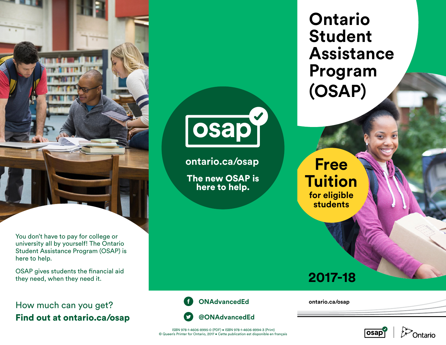

You don't have to pay for college or university all by yourself! The Ontario Student Assistance Program (OSAP) is here to help.

OSAP gives students the financial aid they need, when they need it.

How much can you get? Find out at [ontario.ca/osap](http://ontario.ca/osap)



**[ontario.ca/osap](http://ontario.ca/osap)**

The new OSAP is here to help.

**Ontario Student Assistance Program (OSAP)**

**Free Tuition for eligible students**

## **2017-18**



**[ontario.ca/osap](http://ontario.ca/osap)**



ISBN 978-1-4606-8995-0 (PDF) . ISBN 978-1-4606-8994-3 (Print) © Queen's Printer for Ontario, 2017 • Cette publication est disponible en français